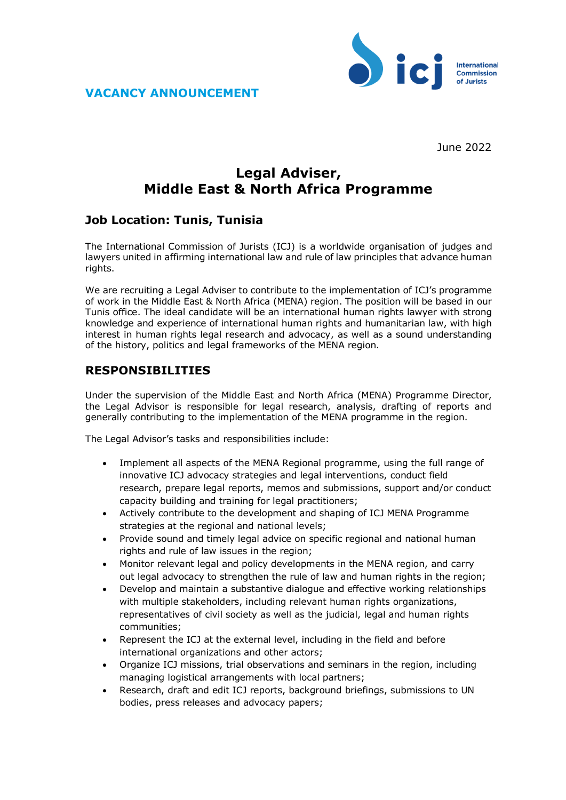



June 2022

## **Legal Adviser, Middle East & North Africa Programme**

## **Job Location: Tunis, Tunisia**

The International Commission of Jurists (ICJ) is a worldwide organisation of judges and lawyers united in affirming international law and rule of law principles that advance human rights.

We are recruiting a Legal Adviser to contribute to the implementation of ICJ's programme of work in the Middle East & North Africa (MENA) region. The position will be based in our Tunis office. The ideal candidate will be an international human rights lawyer with strong knowledge and experience of international human rights and humanitarian law, with high interest in human rights legal research and advocacy, as well as a sound understanding of the history, politics and legal frameworks of the MENA region.

## **RESPONSIBILITIES**

Under the supervision of the Middle East and North Africa (MENA) Programme Director, the Legal Advisor is responsible for legal research, analysis, drafting of reports and generally contributing to the implementation of the MENA programme in the region.

The Legal Advisor's tasks and responsibilities include:

- Implement all aspects of the MENA Regional programme, using the full range of innovative ICJ advocacy strategies and legal interventions, conduct field research, prepare legal reports, memos and submissions, support and/or conduct capacity building and training for legal practitioners;
- Actively contribute to the development and shaping of ICJ MENA Programme strategies at the regional and national levels;
- Provide sound and timely legal advice on specific regional and national human rights and rule of law issues in the region;
- Monitor relevant legal and policy developments in the MENA region, and carry out legal advocacy to strengthen the rule of law and human rights in the region;
- Develop and maintain a substantive dialogue and effective working relationships with multiple stakeholders, including relevant human rights organizations, representatives of civil society as well as the judicial, legal and human rights communities;
- Represent the ICJ at the external level, including in the field and before international organizations and other actors;
- Organize ICJ missions, trial observations and seminars in the region, including managing logistical arrangements with local partners;
- Research, draft and edit ICJ reports, background briefings, submissions to UN bodies, press releases and advocacy papers;